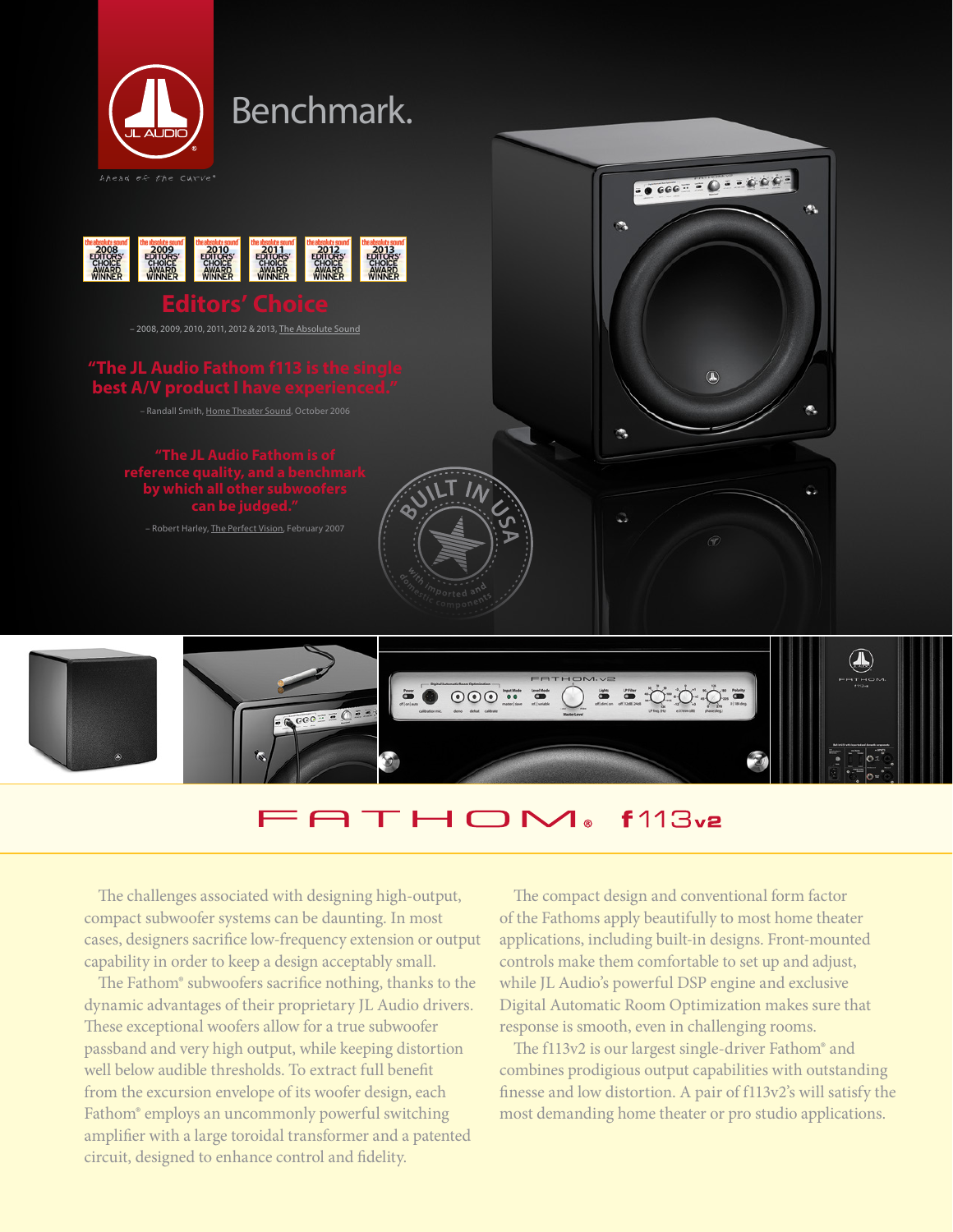

## THOM®  $f113v2$

The challenges associated with designing high-output, compact subwoofer systems can be daunting. In most cases, designers sacrifice low-frequency extension or output capability in order to keep a design acceptably small.

The Fathom® subwoofers sacrifice nothing, thanks to the dynamic advantages of their proprietary JL Audio drivers. These exceptional woofers allow for a true subwoofer passband and very high output, while keeping distortion well below audible thresholds. To extract full benefit from the excursion envelope of its woofer design, each Fathom® employs an uncommonly powerful switching amplifier with a large toroidal transformer and a patented circuit, designed to enhance control and fidelity.

The compact design and conventional form factor of the Fathoms apply beautifully to most home theater applications, including built-in designs. Front-mounted controls make them comfortable to set up and adjust, while JL Audio's powerful DSP engine and exclusive Digital Automatic Room Optimization makes sure that response is smooth, even in challenging rooms.

The f113v2 is our largest single-driver Fathom® and combines prodigious output capabilities with outstanding finesse and low distortion. A pair of f113v2's will satisfy the most demanding home theater or pro studio applications.